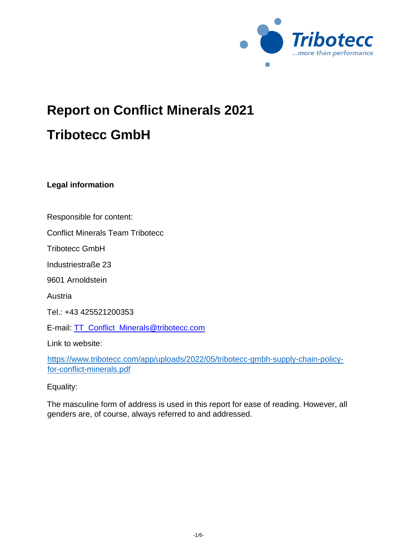

# **Report on Conflict Minerals 2021 Tribotecc GmbH**

**Legal information** 

Responsible for content:

Conflict Minerals Team Tribotecc

Tribotecc GmbH

Industriestraße 23

9601 Arnoldstein

Austria

Tel.: +43 425521200353

E-mail: TT\_Conflict\_Minerals@tribotecc.com

Link to website:

[https://www.tribotecc.com/app/uploads/2022/05/tribotecc-gmbh-supply-chain-policy](https://www.tribotecc.com/app/uploads/2022/05/tribotecc-gmbh-supply-chain-policy-for-conflict-minerals.pdf)[for-conflict-minerals.pdf](https://www.tribotecc.com/app/uploads/2022/05/tribotecc-gmbh-supply-chain-policy-for-conflict-minerals.pdf)

Equality:

The masculine form of address is used in this report for ease of reading. However, all genders are, of course, always referred to and addressed.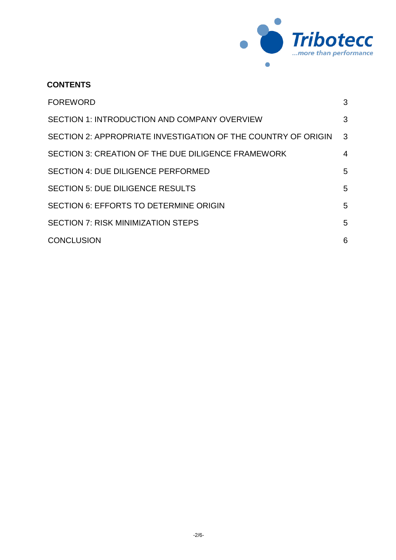

## **CONTENTS**

| <b>FOREWORD</b>                                               | 3 |
|---------------------------------------------------------------|---|
| <b>SECTION 1: INTRODUCTION AND COMPANY OVERVIEW</b>           | 3 |
| SECTION 2: APPROPRIATE INVESTIGATION OF THE COUNTRY OF ORIGIN | 3 |
| SECTION 3: CREATION OF THE DUE DILIGENCE FRAMEWORK            | 4 |
| <b>SECTION 4: DUE DILIGENCE PERFORMED</b>                     | 5 |
| <b>SECTION 5: DUE DILIGENCE RESULTS</b>                       | 5 |
| <b>SECTION 6: EFFORTS TO DETERMINE ORIGIN</b>                 | 5 |
| <b>SECTION 7: RISK MINIMIZATION STEPS</b>                     | 5 |
| <b>CONCLUSION</b>                                             | 6 |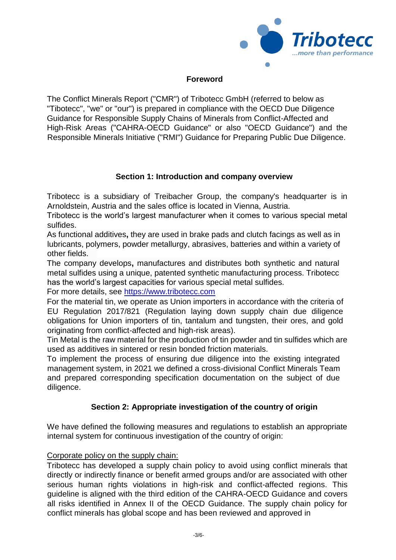

## **Foreword**

<span id="page-2-0"></span>The Conflict Minerals Report ("CMR") of Tribotecc GmbH (referred to below as "Tibotecc", "we" or "our") is prepared in compliance with the OECD Due Diligence Guidance for Responsible Supply Chains of Minerals from Conflict-Affected and High-Risk Areas ("CAHRA-OECD Guidance" or also "OECD Guidance") and the Responsible Minerals Initiative ("RMI") Guidance for Preparing Public Due Diligence.

## **Section 1: Introduction and company overview**

<span id="page-2-1"></span>Tribotecc is a subsidiary of Treibacher Group, the company's headquarter is in Arnoldstein, Austria and the sales office is located in Vienna, Austria.

Tribotecc is the world's largest manufacturer when it comes to various special metal sulfides.

As functional additives**,** they are used i[n](https://www.tribotecc.com/friction/) [brake pads and clutch](https://www.tribotecc.com/friction/) [facings](https://www.tribotecc.com/friction/) as well as i[n](https://www.tribotecc.com/lubricants/) [lubricants,](https://www.tribotecc.com/lubricants/) [polymers,](https://www.tribotecc.com/polymers/) [powder metallurgy,](https://www.tribotecc.com/powder-metallurgy/) [abrasives,](https://www.tribotecc.com/abrasives/) [batteries](https://www.tribotecc.com/electronics/) and within a variety of other fields.

The company develops**,** manufactures and distributes bot[h](https://www.tribotecc.com/products/) [synthetic and natural](https://www.tribotecc.com/products/)  [metal sulfides](https://www.tribotecc.com/products/) using a unique, patented synthetic manufacturing process. Tribotecc has the world's largest capacities for various special metal sulfides.

For more details, see [https://www.tribotecc.com](https://www.tribotecc.com/)

For the material tin, we operate as Union importers in accordance with the criteria of EU Regulation 2017/821 (Regulation laying down supply chain due diligence obligations for Union importers of tin, tantalum and tungsten, their ores, and gold originating from conflict-affected and high-risk areas).

Tin Metal is the raw material for the production of tin powder and tin sulfides which are used as additives in sintered or resin bonded friction materials.

To implement the process of ensuring due diligence into the existing integrated management system, in 2021 we defined a cross-divisional Conflict Minerals Team and prepared corresponding specification documentation on the subject of due diligence.

## **Section 2: Appropriate investigation of the country of origin**

<span id="page-2-2"></span>We have defined the following measures and regulations to establish an appropriate internal system for continuous investigation of the country of origin:

#### Corporate policy on the supply chain:

Tribotecc has developed a supply chain policy to avoid using conflict minerals that directly or indirectly finance or benefit armed groups and/or are associated with other serious human rights violations in high-risk and conflict-affected regions. This guideline is aligned with the third edition of the CAHRA-OECD Guidance and covers all risks identified in Annex II of the OECD Guidance. The supply chain policy for conflict minerals has global scope and has been reviewed and approved in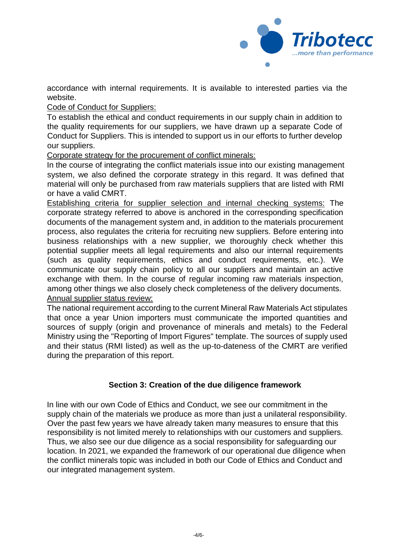

accordance with internal requirements. It is available to interested parties via the website.

Code of Conduct for Suppliers:

To establish the ethical and conduct requirements in our supply chain in addition to the quality requirements for our suppliers, we have drawn up a separate Code of Conduct for Suppliers. This is intended to support us in our efforts to further develop our suppliers.

Corporate strategy for the procurement of conflict minerals:

In the course of integrating the conflict materials issue into our existing management system, we also defined the corporate strategy in this regard. It was defined that material will only be purchased from raw materials suppliers that are listed with RMI or have a valid CMRT.

Establishing criteria for supplier selection and internal checking systems: The corporate strategy referred to above is anchored in the corresponding specification documents of the management system and, in addition to the materials procurement process, also regulates the criteria for recruiting new suppliers. Before entering into business relationships with a new supplier, we thoroughly check whether this potential supplier meets all legal requirements and also our internal requirements (such as quality requirements, ethics and conduct requirements, etc.). We communicate our supply chain policy to all our suppliers and maintain an active exchange with them. In the course of regular incoming raw materials inspection, among other things we also closely check completeness of the delivery documents. Annual supplier status review:

The national requirement according to the current Mineral Raw Materials Act stipulates that once a year Union importers must communicate the imported quantities and sources of supply (origin and provenance of minerals and metals) to the Federal Ministry using the "Reporting of Import Figures" template. The sources of supply used and their status (RMI listed) as well as the up-to-dateness of the CMRT are verified during the preparation of this report.

## **Section 3: Creation of the due diligence framework**

<span id="page-3-0"></span>In line with our own Code of Ethics and Conduct, we see our commitment in the supply chain of the materials we produce as more than just a unilateral responsibility. Over the past few years we have already taken many measures to ensure that this responsibility is not limited merely to relationships with our customers and suppliers. Thus, we also see our due diligence as a social responsibility for safeguarding our location. In 2021, we expanded the framework of our operational due diligence when the conflict minerals topic was included in both our Code of Ethics and Conduct and our integrated management system.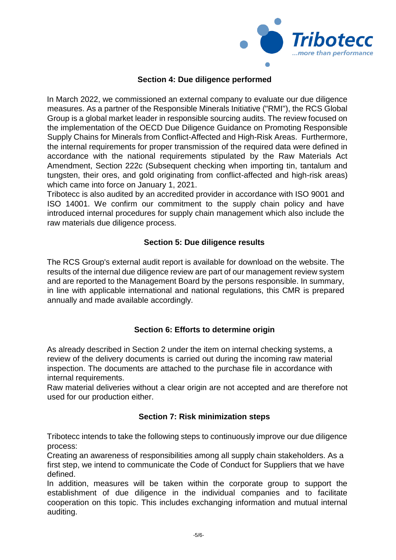

## **Section 4: Due diligence performed**

<span id="page-4-0"></span>In March 2022, we commissioned an external company to evaluate our due diligence measures. As a partner of the Responsible Minerals Initiative ("RMI"), the RCS Global Group is a global market leader in responsible sourcing audits. The review focused on the implementation of the OECD Due Diligence Guidance on Promoting Responsible Supply Chains for Minerals from Conflict-Affected and High-Risk Areas. Furthermore, the internal requirements for proper transmission of the required data were defined in accordance with the national requirements stipulated by the Raw Materials Act Amendment, Section 222c (Subsequent checking when importing tin, tantalum and tungsten, their ores, and gold originating from conflict-affected and high-risk areas) which came into force on January 1, 2021.

Tribotecc is also audited by an accredited provider in accordance with ISO 9001 and ISO 14001. We confirm our commitment to the supply chain policy and have introduced internal procedures for supply chain management which also include the raw materials due diligence process.

## **Section 5: Due diligence results**

<span id="page-4-1"></span>The RCS Group's external audit report is available for download on the website. The results of the internal due diligence review are part of our management review system and are reported to the Management Board by the persons responsible. In summary, in line with applicable international and national regulations, this CMR is prepared annually and made available accordingly.

## **Section 6: Efforts to determine origin**

<span id="page-4-2"></span>As already described in Section 2 under the item on internal checking systems, a review of the delivery documents is carried out during the incoming raw material inspection. The documents are attached to the purchase file in accordance with internal requirements.

Raw material deliveries without a clear origin are not accepted and are therefore not used for our production either.

#### **Section 7: Risk minimization steps**

<span id="page-4-3"></span>Tribotecc intends to take the following steps to continuously improve our due diligence process:

Creating an awareness of responsibilities among all supply chain stakeholders. As a first step, we intend to communicate the Code of Conduct for Suppliers that we have defined.

In addition, measures will be taken within the corporate group to support the establishment of due diligence in the individual companies and to facilitate cooperation on this topic. This includes exchanging information and mutual internal auditing.